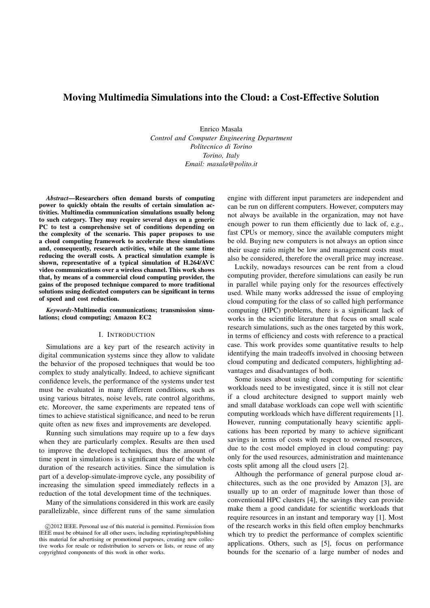# Moving Multimedia Simulations into the Cloud: a Cost-Effective Solution

Enrico Masala *Control and Computer Engineering Department Politecnico di Torino Torino, Italy Email: masala@polito.it*

*Abstract*—Researchers often demand bursts of computing power to quickly obtain the results of certain simulation activities. Multimedia communication simulations usually belong to such category. They may require several days on a generic PC to test a comprehensive set of conditions depending on the complexity of the scenario. This paper proposes to use a cloud computing framework to accelerate these simulations and, consequently, research activities, while at the same time reducing the overall costs. A practical simulation example is shown, representative of a typical simulation of H.264/AVC video communications over a wireless channel. This work shows that, by means of a commercial cloud computing provider, the gains of the proposed technique compared to more traditional solutions using dedicated computers can be significant in terms of speed and cost reduction.

*Keywords*-Multimedia communications; transmission simulations; cloud computing; Amazon EC2

## I. INTRODUCTION

Simulations are a key part of the research activity in digital communication systems since they allow to validate the behavior of the proposed techniques that would be too complex to study analytically. Indeed, to achieve significant confidence levels, the performance of the systems under test must be evaluated in many different conditions, such as using various bitrates, noise levels, rate control algorithms, etc. Moreover, the same experiments are repeated tens of times to achieve statistical significance, and need to be rerun quite often as new fixes and improvements are developed.

Running such simulations may require up to a few days when they are particularly complex. Results are then used to improve the developed techniques, thus the amount of time spent in simulations is a significant share of the whole duration of the research activities. Since the simulation is part of a develop-simulate-improve cycle, any possibility of increasing the simulation speed immediately reflects in a reduction of the total development time of the techniques.

Many of the simulations considered in this work are easily parallelizable, since different runs of the same simulation engine with different input parameters are independent and can be run on different computers. However, computers may not always be available in the organization, may not have enough power to run them efficiently due to lack of, e.g., fast CPUs or memory, since the available computers might be old. Buying new computers is not always an option since their usage ratio might be low and management costs must also be considered, therefore the overall price may increase.

Luckily, nowadays resources can be rent from a cloud computing provider, therefore simulations can easily be run in parallel while paying only for the resources effectively used. While many works addressed the issue of employing cloud computing for the class of so called high performance computing (HPC) problems, there is a significant lack of works in the scientific literature that focus on small scale research simulations, such as the ones targeted by this work, in terms of efficiency and costs with reference to a practical case. This work provides some quantitative results to help identifying the main tradeoffs involved in choosing between cloud computing and dedicated computers, highlighting advantages and disadvantages of both.

Some issues about using cloud computing for scientific workloads need to be investigated, since it is still not clear if a cloud architecture designed to support mainly web and small database workloads can cope well with scientific computing workloads which have different requirements [1]. However, running computationally heavy scientific applications has been reported by many to achieve significant savings in terms of costs with respect to owned resources, due to the cost model employed in cloud computing: pay only for the used resources, administration and maintenance costs split among all the cloud users [2].

Although the performance of general purpose cloud architectures, such as the one provided by Amazon [3], are usually up to an order of magnitude lower than those of conventional HPC clusters [4], the savings they can provide make them a good candidate for scientific workloads that require resources in an instant and temporary way [1]. Most of the research works in this field often employ benchmarks which try to predict the performance of complex scientific applications. Others, such as [5], focus on performance bounds for the scenario of a large number of nodes and

c 2012 IEEE. Personal use of this material is permitted. Permission from IEEE must be obtained for all other users, including reprinting/republishing this material for advertising or promotional purposes, creating new collective works for resale or redistribution to servers or lists, or reuse of any copyrighted components of this work in other works.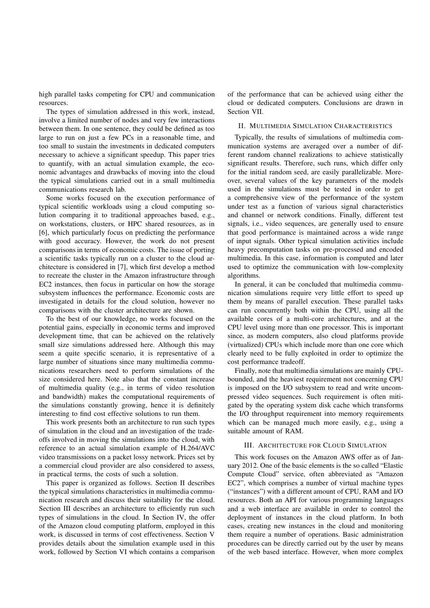high parallel tasks competing for CPU and communication resources.

The types of simulation addressed in this work, instead, involve a limited number of nodes and very few interactions between them. In one sentence, they could be defined as too large to run on just a few PCs in a reasonable time, and too small to sustain the investments in dedicated computers necessary to achieve a significant speedup. This paper tries to quantify, with an actual simulation example, the economic advantages and drawbacks of moving into the cloud the typical simulations carried out in a small multimedia communications research lab.

Some works focused on the execution performance of typical scientific workloads using a cloud computing solution comparing it to traditional approaches based, e.g., on workstations, clusters, or HPC shared resources, as in [6], which particularly focus on predicting the performance with good accuracy. However, the work do not present comparisons in terms of economic costs. The issue of porting a scientific tasks typically run on a cluster to the cloud architecture is considered in [7], which first develop a method to recreate the cluster in the Amazon infrastructure through EC2 instances, then focus in particular on how the storage subsystem influences the performance. Economic costs are investigated in details for the cloud solution, however no comparisons with the cluster architecture are shown.

To the best of our knowledge, no works focused on the potential gains, especially in economic terms and improved development time, that can be achieved on the relatively small size simulations addressed here. Although this may seem a quite specific scenario, it is representative of a large number of situations since many multimedia communications researchers need to perform simulations of the size considered here. Note also that the constant increase of multimedia quality (e.g., in terms of video resolution and bandwidth) makes the computational requirements of the simulations constantly growing, hence it is definitely interesting to find cost effective solutions to run them.

This work presents both an architecture to run such types of simulation in the cloud and an investigation of the tradeoffs involved in moving the simulations into the cloud, with reference to an actual simulation example of H.264/AVC video transmissions on a packet lossy network. Prices set by a commercial cloud provider are also considered to assess, in practical terms, the costs of such a solution.

This paper is organized as follows. Section II describes the typical simulations characteristics in multimedia communication research and discuss their suitability for the cloud. Section III describes an architecture to efficiently run such types of simulations in the cloud. In Section IV, the offer of the Amazon cloud computing platform, employed in this work, is discussed in terms of cost effectiveness. Section V provides details about the simulation example used in this work, followed by Section VI which contains a comparison of the performance that can be achieved using either the cloud or dedicated computers. Conclusions are drawn in Section VII.

## II. MULTIMEDIA SIMULATION CHARACTERISTICS

Typically, the results of simulations of multimedia communication systems are averaged over a number of different random channel realizations to achieve statistically significant results. Therefore, such runs, which differ only for the initial random seed, are easily parallelizable. Moreover, several values of the key parameters of the models used in the simulations must be tested in order to get a comprehensive view of the performance of the system under test as a function of various signal characteristics and channel or network conditions. Finally, different test signals, i.e., video sequences, are generally used to ensure that good performance is maintained across a wide range of input signals. Other typical simulation activities include heavy precomputation tasks on pre-processed and encoded multimedia. In this case, information is computed and later used to optimize the communication with low-complexity algorithms.

In general, it can be concluded that multimedia communication simulations require very little effort to speed up them by means of parallel execution. These parallel tasks can run concurrently both within the CPU, using all the available cores of a multi-core architectures, and at the CPU level using more than one processor. This is important since, as modern computers, also cloud platforms provide (virtualized) CPUs which include more than one core which clearly need to be fully exploited in order to optimize the cost performance tradeoff.

Finally, note that multimedia simulations are mainly CPUbounded, and the heaviest requirement not concerning CPU is imposed on the I/O subsystem to read and write uncompressed video sequences. Such requirement is often mitigated by the operating system disk cache which transforms the I/O throughput requirement into memory requirements which can be managed much more easily, e.g., using a suitable amount of RAM.

## III. ARCHITECTURE FOR CLOUD SIMULATION

This work focuses on the Amazon AWS offer as of January 2012. One of the basic elements is the so called "Elastic Compute Cloud" service, often abbreviated as "Amazon EC2", which comprises a number of virtual machine types ("instances") with a different amount of CPU, RAM and I/O resources. Both an API for various programming languages and a web interface are available in order to control the deployment of instances in the cloud platform. In both cases, creating new instances in the cloud and monitoring them require a number of operations. Basic administration procedures can be directly carried out by the user by means of the web based interface. However, when more complex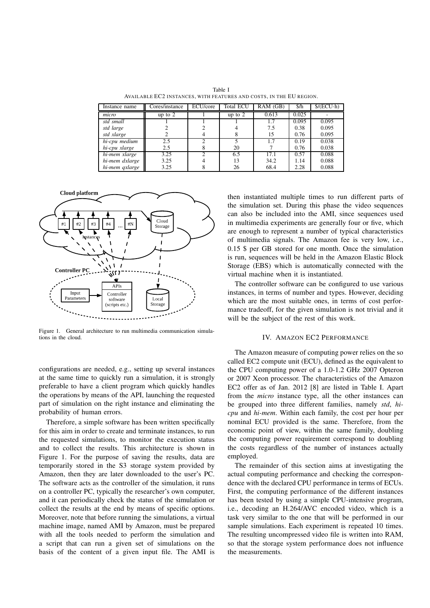Table I AVAILABLE EC2 INSTANCES, WITH FEATURES AND COSTS, IN THE EU REGION.

| Instance name  | Cores/instance | ECU/core | <b>Total ECU</b> | RAM (GB) | \$/h  | $$/$ (ECU·h) |
|----------------|----------------|----------|------------------|----------|-------|--------------|
| micro          | up to $2$      |          | up to $2$        | 0.613    | 0.025 |              |
| std small      |                |          |                  |          | 0.095 | 0.095        |
| std large      |                |          |                  | 7.5      | 0.38  | 0.095        |
| std xlarge     |                |          |                  | 15       | 0.76  | 0.095        |
| hi-cpu medium  | 2.5            | ◠        |                  | 1.7      | 0.19  | 0.038        |
| hi-cpu xlarge  | 2.5            | 8        | 20               |          | 0.76  | 0.038        |
| hi-mem xlarge  | 3.25           | ◠        | 6.5              | 17.1     | 0.57  | 0.088        |
| hi-mem dxlarge | 3.25           |          | 13               | 34.2     | 1.14  | 0.088        |
| hi-mem gxlarge | 3.25           |          | 26               | 68.4     | 2.28  | 0.088        |



Figure 1. General architecture to run multimedia communication simulations in the cloud.

configurations are needed, e.g., setting up several instances at the same time to quickly run a simulation, it is strongly preferable to have a client program which quickly handles the operations by means of the API, launching the requested part of simulation on the right instance and eliminating the probability of human errors.

Therefore, a simple software has been written specifically for this aim in order to create and terminate instances, to run the requested simulations, to monitor the execution status and to collect the results. This architecture is shown in Figure 1. For the purpose of saving the results, data are temporarily stored in the S3 storage system provided by Amazon, then they are later downloaded to the user's PC. The software acts as the controller of the simulation, it runs on a controller PC, typically the researcher's own computer, and it can periodically check the status of the simulation or collect the results at the end by means of specific options. Moreover, note that before running the simulations, a virtual machine image, named AMI by Amazon, must be prepared with all the tools needed to perform the simulation and a script that can run a given set of simulations on the basis of the content of a given input file. The AMI is

then instantiated multiple times to run different parts of the simulation set. During this phase the video sequences can also be included into the AMI, since sequences used in multimedia experiments are generally four or five, which are enough to represent a number of typical characteristics of multimedia signals. The Amazon fee is very low, i.e., 0.15 \$ per GB stored for one month. Once the simulation is run, sequences will be held in the Amazon Elastic Block Storage (EBS) which is automatically connected with the virtual machine when it is instantiated.

The controller software can be configured to use various instances, in terms of number and types. However, deciding which are the most suitable ones, in terms of cost performance tradeoff, for the given simulation is not trivial and it will be the subject of the rest of this work.

## IV. AMAZON EC2 PERFORMANCE

The Amazon measure of computing power relies on the so called EC2 compute unit (ECU), defined as the equivalent to the CPU computing power of a 1.0-1.2 GHz 2007 Opteron or 2007 Xeon processor. The characteristics of the Amazon EC2 offer as of Jan. 2012 [8] are listed in Table I. Apart from the *micro* instance type, all the other instances can be grouped into three different families, namely *std*, *hicpu* and *hi-mem*. Within each family, the cost per hour per nominal ECU provided is the same. Therefore, from the economic point of view, within the same family, doubling the computing power requirement correspond to doubling the costs regardless of the number of instances actually employed.

The remainder of this section aims at investigating the actual computing performance and checking the correspondence with the declared CPU performance in terms of ECUs. First, the computing performance of the different instances has been tested by using a simple CPU-intensive program, i.e., decoding an H.264/AVC encoded video, which is a task very similar to the one that will be performed in our sample simulations. Each experiment is repeated 10 times. The resulting uncompressed video file is written into RAM, so that the storage system performance does not influence the measurements.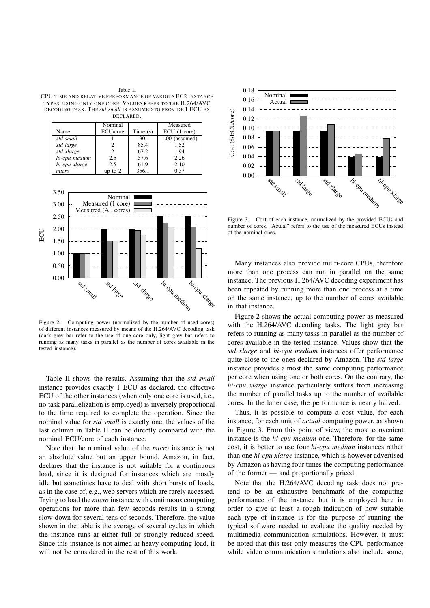Table II CPU TIME AND RELATIVE PERFORMANCE OF VARIOUS EC2 INSTANCE TYPES, USING ONLY ONE CORE. VALUES REFER TO THE H.264/AVC DECODING TASK. THE *std small* IS ASSUMED TO PROVIDE 1 ECU AS DECLARED.

|               | Nominal   |            | Measured         |
|---------------|-----------|------------|------------------|
| Name          | ECU/core  | Time $(s)$ | $ECU$ (1 core)   |
| std small     |           | 130.1      | $1.00$ (assumed) |
| std large     |           | 85.4       | 1.52             |
| std xlarge    |           | 67.2       | 1.94             |
| hi-cpu medium | 2.5       | 57.6       | 2.26             |
| hi-cpu xlarge | 2.5       | 61.9       | 2.10             |
| micro         | up to $2$ | 356.1      | 0.37             |



Figure 2. Computing power (normalized by the number of used cores) of different instances measured by means of the H.264/AVC decoding task (dark grey bar refer to the use of one core only, light grey bar refers to running as many tasks in parallel as the number of cores available in the tested instance).

Table II shows the results. Assuming that the *std small* instance provides exactly 1 ECU as declared, the effective ECU of the other instances (when only one core is used, i.e., no task parallelization is employed) is inversely proportional to the time required to complete the operation. Since the nominal value for *std small* is exactly one, the values of the last column in Table II can be directly compared with the nominal ECU/core of each instance.

Note that the nominal value of the *micro* instance is not an absolute value but an upper bound. Amazon, in fact, declares that the instance is not suitable for a continuous load, since it is designed for instances which are mostly idle but sometimes have to deal with short bursts of loads, as in the case of, e.g., web servers which are rarely accessed. Trying to load the *micro* instance with continuous computing operations for more than few seconds results in a strong slow-down for several tens of seconds. Therefore, the value shown in the table is the average of several cycles in which the instance runs at either full or strongly reduced speed. Since this instance is not aimed at heavy computing load, it will not be considered in the rest of this work.



Figure 3. Cost of each instance, normalized by the provided ECUs and number of cores. "Actual" refers to the use of the measured ECUs instead of the nominal ones.

Many instances also provide multi-core CPUs, therefore more than one process can run in parallel on the same instance. The previous H.264/AVC decoding experiment has been repeated by running more than one process at a time on the same instance, up to the number of cores available in that instance.

Figure 2 shows the actual computing power as measured with the H.264/AVC decoding tasks. The light grey bar refers to running as many tasks in parallel as the number of cores available in the tested instance. Values show that the *std xlarge* and *hi-cpu medium* instances offer performance quite close to the ones declared by Amazon. The *std large* instance provides almost the same computing performance per core when using one or both cores. On the contrary, the *hi-cpu xlarge* instance particularly suffers from increasing the number of parallel tasks up to the number of available cores. In the latter case, the performance is nearly halved.

Thus, it is possible to compute a cost value, for each instance, for each unit of *actual* computing power, as shown in Figure 3. From this point of view, the most convenient instance is the *hi-cpu medium* one. Therefore, for the same cost, it is better to use four *hi-cpu medium* instances rather than one *hi-cpu xlarge* instance, which is however advertised by Amazon as having four times the computing performance of the former — and proportionally priced.

Note that the H.264/AVC decoding task does not pretend to be an exhaustive benchmark of the computing performance of the instance but it is employed here in order to give at least a rough indication of how suitable each type of instance is for the purpose of running the typical software needed to evaluate the quality needed by multimedia communication simulations. However, it must be noted that this test only measures the CPU performance while video communication simulations also include some,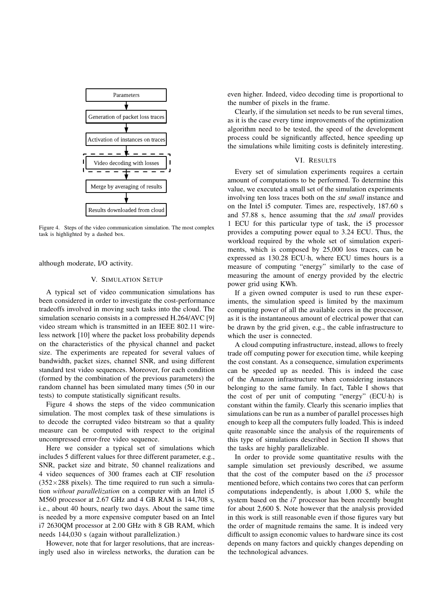

Figure 4. Steps of the video communication simulation. The most complex task is highlighted by a dashed box.

although moderate, I/O activity.

## V. SIMULATION SETUP

A typical set of video communication simulations has been considered in order to investigate the cost-performance tradeoffs involved in moving such tasks into the cloud. The simulation scenario consists in a compressed H.264/AVC [9] video stream which is transmitted in an IEEE 802.11 wireless network [10] where the packet loss probability depends on the characteristics of the physical channel and packet size. The experiments are repeated for several values of bandwidth, packet sizes, channel SNR, and using different standard test video sequences. Moreover, for each condition (formed by the combination of the previous parameters) the random channel has been simulated many times (50 in our tests) to compute statistically significant results.

Figure 4 shows the steps of the video communication simulation. The most complex task of these simulations is to decode the corrupted video bitstream so that a quality measure can be computed with respect to the original uncompressed error-free video sequence.

Here we consider a typical set of simulations which includes 5 different values for three different parameter, e.g., SNR, packet size and bitrate, 50 channel realizations and 4 video sequences of 300 frames each at CIF resolution  $(352\times288$  pixels). The time required to run such a simulation *without parallelization* on a computer with an Intel i5 M560 processor at 2.67 GHz and 4 GB RAM is 144,708 s, i.e., about 40 hours, nearly two days. About the same time is needed by a more expensive computer based on an Intel i7 2630QM processor at 2.00 GHz with 8 GB RAM, which needs 144,030 s (again without parallelization.)

However, note that for larger resolutions, that are increasingly used also in wireless networks, the duration can be even higher. Indeed, video decoding time is proportional to the number of pixels in the frame.

Clearly, if the simulation set needs to be run several times, as it is the case every time improvements of the optimization algorithm need to be tested, the speed of the development process could be significantly affected, hence speeding up the simulations while limiting costs is definitely interesting.

## VI. RESULTS

Every set of simulation experiments requires a certain amount of computations to be performed. To determine this value, we executed a small set of the simulation experiments involving ten loss traces both on the *std small* instance and on the Intel i5 computer. Times are, respectively, 187.60 s and 57.88 s, hence assuming that the *std small* provides 1 ECU for this particular type of task, the i5 processor provides a computing power equal to 3.24 ECU. Thus, the workload required by the whole set of simulation experiments, which is composed by 25,000 loss traces, can be expressed as 130.28 ECU·h, where ECU times hours is a measure of computing "energy" similarly to the case of measuring the amount of energy provided by the electric power grid using KWh.

If a given owned computer is used to run these experiments, the simulation speed is limited by the maximum computing power of all the available cores in the processor, as it is the instantaneous amount of electrical power that can be drawn by the grid given, e.g., the cable infrastructure to which the user is connected.

A cloud computing infrastructure, instead, allows to freely trade off computing power for execution time, while keeping the cost constant. As a consequence, simulation experiments can be speeded up as needed. This is indeed the case of the Amazon infrastructure when considering instances belonging to the same family. In fact, Table I shows that the cost of per unit of computing "energy" (ECU·h) is constant within the family. Clearly this scenario implies that simulations can be run as a number of parallel processes high enough to keep all the computers fully loaded. This is indeed quite reasonable since the analysis of the requirements of this type of simulations described in Section II shows that the tasks are highly parallelizable.

In order to provide some quantitative results with the sample simulation set previously described, we assume that the cost of the computer based on the *i5* processor mentioned before, which contains two cores that can perform computations independently, is about 1,000 \$, while the system based on the *i7* processor has been recently bought for about 2,600 \$. Note however that the analysis provided in this work is still reasonable even if those figures vary but the order of magnitude remains the same. It is indeed very difficult to assign economic values to hardware since its cost depends on many factors and quickly changes depending on the technological advances.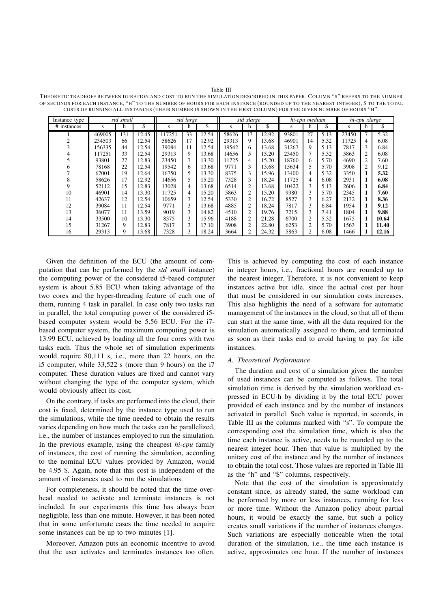Instance type *std small std large std xlarge hi-cpu medium hi-cpu xlarge* # instances s h \$ s h \$ s h \$ s h \$ s h \$ 1 469005 | 131 | 12.45 || 117251 | 33 | 12.54 || 58626 | 17 | 12.92 || 93801 | 27 | 5.13 || 23450 | 7 | 5.32 2 || 234503 | 66 | 12.54 || 58626 | 17 | 12.92 || 29313 | 9 | 13.68 || 46901 | 14 | 5.32 || 11725 | 4 | 6.08 3 156335 44 12.54 39084 11 12.54 39542 6 13.68 31267 9 5.13 7817 3 6.84 4 || 117251 | 33 | 12.54 || 29313 | 9 | 13.68 || 14656 | 5 | 15.20 || 23450 | 7 | 5.32 || 5863 | 2 | 6.08 5 **93801** 27 12.83 23450 7 13.30 1725 4 15.20 18760 6 5.70  $\,$  4690 2 7.60 6 || 78168 | 22 | 12.54 || 19542 | 6 | 13.68 || 9771 | 3 | 13.68 || 15634 | 5 | 5.70 || 3908 | 2 | 9.12 7 **67001** 19 12.64 16750 5 13.30 8375 3 15.96 13400 4 5.32 3350 1 5.32 8 **1** 58626 17 12.92 14656 5 15.20 7328 3 18.24 11725 4 6.08 2931 1 6.08 9 **1** 52112 15 12.83 13028 4 13.68 6514 2 13.68 10422 3 5.13 2606 1 6.84 10  $\parallel$  46901 | 14 | 13.30 || 11725 | 4 | 15.20 || 5863 | 2 | 15.20 || 9380 | 3 | 5.70 || 2345 | 1 | 7.60 11 42637 12 12.54 10659 3 12.54 5330 2 16.72 8527 3 6.27 2132 1 8.36 12  $\parallel$  39084 | 11 | 12.54 | 9771 | 3 | 13.68 | 4885 | 2 | 18.24 || 7817 | 3 | 6.84 || 1954 | 1 | 9.12 13  $\parallel$  36077 | 11 | 13.59 || 9019 | 3 | 14.82 || 4510 | 2 | 19.76 || 7215 | 3 | 7.41 || 1804 | 1 | 9.88 14 **15.32 16.43** 1675 10 13.30 8375 3 15.96 4188 2 21.28 6700 2 5.32 1675 1 1675 15  $\parallel$  31267  $\parallel$  9  $\parallel$  12.83  $\parallel$  7817  $\parallel$  3  $\parallel$  17.10  $\parallel$  3908  $\parallel$  2  $\parallel$  22.80  $\parallel$  6253  $\parallel$  2  $\parallel$  5.70  $\parallel$  1563  $\parallel$  1  $\parallel$  11.40 16 29313 9 13.68 7328 3 18.24 3664 2 24.32 5863 2 6.08 1466 1 12.16

Table III THEORETIC TRADEOFF BETWEEN DURATION AND COST TO RUN THE SIMULATION DESCRIBED IN THIS PAPER. COLUMN "S" REFERS TO THE NUMBER OF SECONDS FOR EACH INSTANCE, "H" TO THE NUMBER OF HOURS FOR EACH INSTANCE (ROUNDED UP TO THE NEAREST INTEGER), \$ TO THE TOTAL COSTS OF RUNNING ALL INSTANCES (THEIR NUMBER IS SHOWN IN THE FIRST COLUMN) FOR THE GIVEN NUMBER OF HOURS "H".

Given the definition of the ECU (the amount of computation that can be performed by the *std small* instance) the computing power of the considered i5-based computer system is about 5.85 ECU when taking advantage of the two cores and the hyper-threading feature of each one of them, running 4 task in parallel. In case only two tasks ran in parallel, the total computing power of the considered i5 based computer system would be 5.56 ECU. For the i7 based computer system, the maximum computing power is 13.99 ECU, achieved by loading all the four cores with two tasks each. Thus the whole set of simulation experiments would require 80,111 s, i.e., more than 22 hours, on the i5 computer, while 33,522 s (more than 9 hours) on the i7 computer. These duration values are fixed and cannot vary without changing the type of the computer system, which would obviously affect its cost.

On the contrary, if tasks are performed into the cloud, their cost is fixed, determined by the instance type used to run the simulations, while the time needed to obtain the results varies depending on how much the tasks can be parallelized, i.e., the number of instances employed to run the simulation. In the previous example, using the cheapest *hi-cpu* family of instances, the cost of running the simulation, according to the nominal ECU values provided by Amazon, would be 4.95 \$. Again, note that this cost is independent of the amount of instances used to run the simulations.

For completeness, it should be noted that the time overhead needed to activate and terminate instances is not included. In our experiments this time has always been negligible, less than one minute. However, it has been noted that in some unfortunate cases the time needed to acquire some instances can be up to two minutes [1].

Moreover, Amazon puts an economic incentive to avoid that the user activates and terminates instances too often.

This is achieved by computing the cost of each instance in integer hours, i.e., fractional hours are rounded up to the nearest integer. Therefore, it is not convenient to keep instances active but idle, since the actual cost per hour that must be considered in our simulation costs increases. This also highlights the need of a software for automatic management of the instances in the cloud, so that all of them can start at the same time, with all the data required for the simulation automatically assigned to them, and terminated as soon as their tasks end to avoid having to pay for idle instances.

### *A. Theoretical Performance*

The duration and cost of a simulation given the number of used instances can be computed as follows. The total simulation time is derived by the simulation workload expressed in ECU·h by dividing it by the total ECU power provided of each instance and by the number of instances activated in parallel. Such value is reported, in seconds, in Table III as the columns marked with "s". To compute the corresponding cost the simulation time, which is also the time each instance is active, needs to be rounded up to the nearest integer hour. Then that value is multiplied by the unitary cost of the instance and by the number of instances to obtain the total cost. Those values are reported in Table III as the "h" and "\$" columns, respectively.

Note that the cost of the simulation is approximately constant since, as already stated, the same workload can be performed by more or less instances, running for less or more time. Without the Amazon policy about partial hours, it would be exactly the same, but such a policy creates small variations if the number of instances changes. Such variations are especially noticeable when the total duration of the simulation, i.e., the time each instance is active, approximates one hour. If the number of instances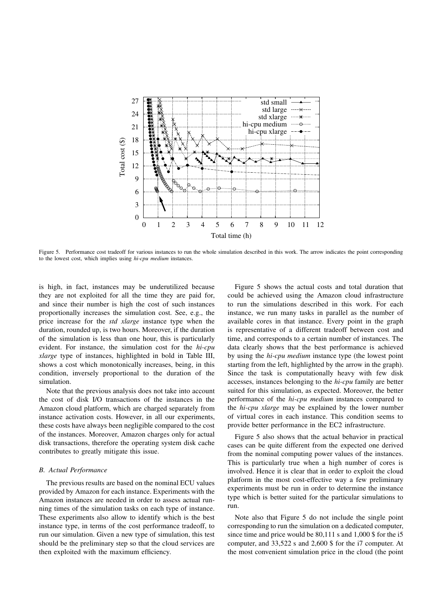

Figure 5. Performance cost tradeoff for various instances to run the whole simulation described in this work. The arrow indicates the point corresponding to the lowest cost, which implies using *hi-cpu medium* instances.

is high, in fact, instances may be underutilized because they are not exploited for all the time they are paid for, and since their number is high the cost of such instances proportionally increases the simulation cost. See, e.g., the price increase for the *std xlarge* instance type when the duration, rounded up, is two hours. Moreover, if the duration of the simulation is less than one hour, this is particularly evident. For instance, the simulation cost for the *hi-cpu xlarge* type of instances, highlighted in bold in Table III, shows a cost which monotonically increases, being, in this condition, inversely proportional to the duration of the simulation.

Note that the previous analysis does not take into account the cost of disk I/O transactions of the instances in the Amazon cloud platform, which are charged separately from instance activation costs. However, in all our experiments, these costs have always been negligible compared to the cost of the instances. Moreover, Amazon charges only for actual disk transactions, therefore the operating system disk cache contributes to greatly mitigate this issue.

## *B. Actual Performance*

The previous results are based on the nominal ECU values provided by Amazon for each instance. Experiments with the Amazon instances are needed in order to assess actual running times of the simulation tasks on each type of instance. These experiments also allow to identify which is the best instance type, in terms of the cost performance tradeoff, to run our simulation. Given a new type of simulation, this test should be the preliminary step so that the cloud services are then exploited with the maximum efficiency.

Figure 5 shows the actual costs and total duration that could be achieved using the Amazon cloud infrastructure to run the simulations described in this work. For each instance, we run many tasks in parallel as the number of available cores in that instance. Every point in the graph is representative of a different tradeoff between cost and time, and corresponds to a certain number of instances. The data clearly shows that the best performance is achieved by using the *hi-cpu medium* instance type (the lowest point starting from the left, highlighted by the arrow in the graph). Since the task is computationally heavy with few disk accesses, instances belonging to the *hi-cpu* family are better suited for this simulation, as expected. Moreover, the better performance of the *hi-cpu medium* instances compared to the *hi-cpu xlarge* may be explained by the lower number of virtual cores in each instance. This condition seems to provide better performance in the EC2 infrastructure.

Figure 5 also shows that the actual behavior in practical cases can be quite different from the expected one derived from the nominal computing power values of the instances. This is particularly true when a high number of cores is involved. Hence it is clear that in order to exploit the cloud platform in the most cost-effective way a few preliminary experiments must be run in order to determine the instance type which is better suited for the particular simulations to run.

Note also that Figure 5 do not include the single point corresponding to run the simulation on a dedicated computer, since time and price would be 80,111 s and 1,000 \$ for the i5 computer, and 33,522 s and 2,600 \$ for the i7 computer. At the most convenient simulation price in the cloud (the point